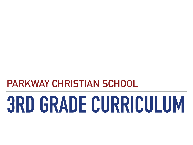**PARKWAY CHRISTIAN SCHOOL**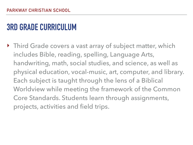‣ Third Grade covers a vast array of subject matter, which includes Bible, reading, spelling, Language Arts, handwriting, math, social studies, and science, as well as physical education, vocal-music, art, computer, and library. Each subject is taught through the lens of a Biblical Worldview while meeting the framework of the Common Core Standards. Students learn through assignments, projects, activities and field trips.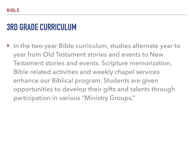‣ In the two-year Bible curriculum, studies alternate year to year from Old Testament stories and events to New Testament stories and events. Scripture memorization, Bible related activities and weekly chapel services enhance our Biblical program. Students are given opportunities to develop their gifts and talents through participation in various "Ministry Groups."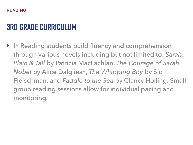‣ In Reading students build fluency and comprehension through various novels including but not limited to: *Sarah, Plain & Tall* by Patricia MacLachlan, *The Courage of Sarah Nobel* by Alice Dalgliesh, *The Whipping Boy* by Sid Fleischman, and *Paddle to the Sea* by Clancy Holling. Small group reading sessions allow for individual pacing and monitoring.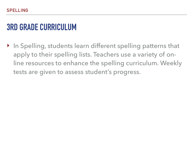‣ In Spelling, students learn different spelling patterns that apply to their spelling lists. Teachers use a variety of online resources to enhance the spelling curriculum. Weekly tests are given to assess student's progress.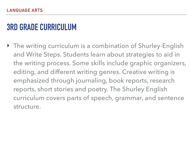‣ The writing curriculum is a combination of Shurley-English and Write Steps. Students learn about strategies to aid in the writing process. Some skills include graphic organizers, editing, and different writing genres. Creative writing is emphasized through journaling, book reports, research reports, short stories and poetry. The Shurley English curriculum covers parts of speech, grammar, and sentence structure.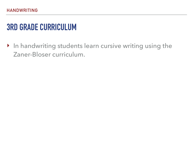‣ In handwriting students learn cursive writing using the Zaner-Bloser curriculum.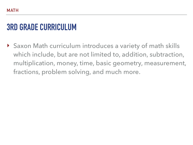‣ Saxon Math curriculum introduces a variety of math skills which include, but are not limited to, addition, subtraction, multiplication, money, time, basic geometry, measurement, fractions, problem solving, and much more.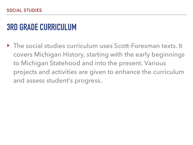‣ The social studies curriculum uses Scott-Foresman texts. It covers Michigan History, starting with the early beginnings to Michigan Statehood and into the present. Various projects and activities are given to enhance the curriculum and assess student's progress.